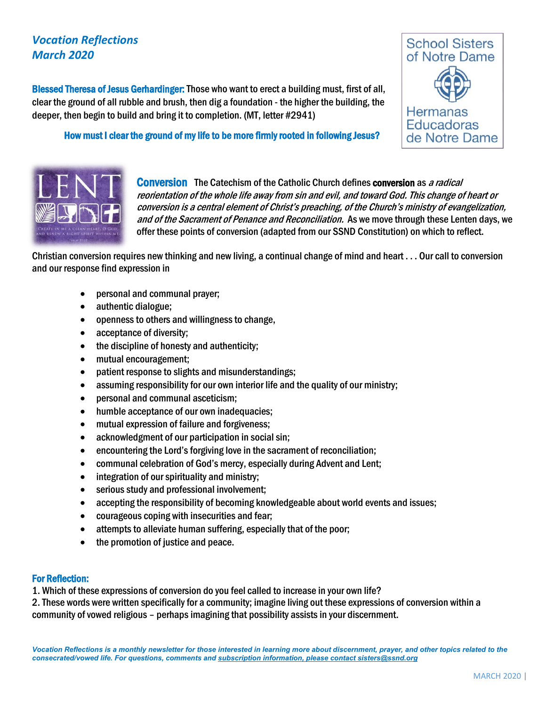## *Vocation Reflections March 2020*

Blessed Theresa of Jesus Gerhardinger: Those who want to erect a building must, first of all, clear the ground of all rubble and brush, then dig a foundation - the higher the building, the deeper, then begin to build and bring it to completion. (MT, letter #2941)

How must I clear the ground of my life to be more firmly rooted in following Jesus?





**Conversion** The Catechism of the Catholic Church defines **conversion** as *a radical* reorientation of the whole life away from sin and evil, and toward God. This change of heart or conversion is a central element of Christ's preaching, of the Church's ministry of evangelization, and of the Sacrament of Penance and Reconciliation. As we move through these Lenten days, we offer these points of conversion (adapted from our SSND Constitution) on which to reflect.

Christian conversion requires new thinking and new living, a continual change of mind and heart . . . Our call to conversion and our response find expression in

- personal and communal prayer;
- authentic dialogue;
- openness to others and willingness to change,
- acceptance of diversity;
- the discipline of honesty and authenticity;
- mutual encouragement;
- patient response to slights and misunderstandings;
- assuming responsibility for our own interior life and the quality of our ministry;
- personal and communal asceticism;
- humble acceptance of our own inadequacies;
- mutual expression of failure and forgiveness;
- acknowledgment of our participation in social sin;
- encountering the Lord's forgiving love in the sacrament of reconciliation;
- communal celebration of God's mercy, especially during Advent and Lent;
- integration of our spirituality and ministry;
- serious study and professional involvement;
- accepting the responsibility of becoming knowledgeable about world events and issues;
- courageous coping with insecurities and fear;
- attempts to alleviate human suffering, especially that of the poor;
- the promotion of justice and peace.

## For Reflection:

1. Which of these expressions of conversion do you feel called to increase in your own life?

2. These words were written specifically for a community; imagine living out these expressions of conversion within a community of vowed religious – perhaps imagining that possibility assists in your discernment.